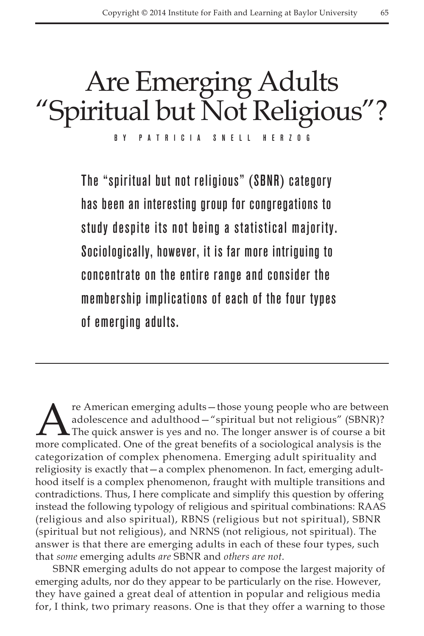# Are Emerging Adults "Spiritual but Not Religious"?

By Patricia Snell Herzog

The "spiritual but not religious" (SBNR) category has been an interesting group for congregations to study despite its not being a statistical majority. Sociologically, however, it is far more intriguing to concentrate on the entire range and consider the membership implications of each of the four types of emerging adults.

re American emerging adults—those young people who are between adolescence and adulthood—"spiritual but not religious" (SBNR)? The quick answer is yes and no. The longer answer is of course a bit more complicated. One of the great benefits of a sociological analysis is the categorization of complex phenomena. Emerging adult spirituality and religiosity is exactly that—a complex phenomenon. In fact, emerging adulthood itself is a complex phenomenon, fraught with multiple transitions and contradictions. Thus, I here complicate and simplify this question by offering instead the following typology of religious and spiritual combinations: RAAS (religious and also spiritual), RBNS (religious but not spiritual), SBNR (spiritual but not religious), and NRNS (not religious, not spiritual). The answer is that there are emerging adults in each of these four types, such that *some* emerging adults *are* SBNR and *others are not*.

SBNR emerging adults do not appear to compose the largest majority of emerging adults, nor do they appear to be particularly on the rise. However, they have gained a great deal of attention in popular and religious media for, I think, two primary reasons. One is that they offer a warning to those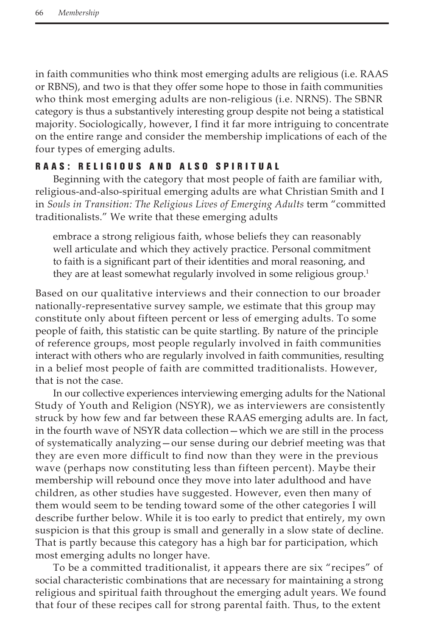in faith communities who think most emerging adults are religious (i.e. RAAS or RBNS), and two is that they offer some hope to those in faith communities who think most emerging adults are non-religious (i.e. NRNS). The SBNR category is thus a substantively interesting group despite not being a statistical majority. Sociologically, however, I find it far more intriguing to concentrate on the entire range and consider the membership implications of each of the four types of emerging adults.

## RAAS: RELIGIOUS AND ALSO SPIRITUAL

Beginning with the category that most people of faith are familiar with, religious-and-also-spiritual emerging adults are what Christian Smith and I in *Souls in Transition: The Religious Lives of Emerging Adults* term "committed" traditionalists." We write that these emerging adults

embrace a strong religious faith, whose beliefs they can reasonably well articulate and which they actively practice. Personal commitment to faith is a significant part of their identities and moral reasoning, and they are at least somewhat regularly involved in some religious group.<sup>1</sup>

Based on our qualitative interviews and their connection to our broader nationally-representative survey sample, we estimate that this group may constitute only about fifteen percent or less of emerging adults. To some people of faith, this statistic can be quite startling. By nature of the principle of reference groups, most people regularly involved in faith communities interact with others who are regularly involved in faith communities, resulting in a belief most people of faith are committed traditionalists. However, that is not the case.

In our collective experiences interviewing emerging adults for the National Study of Youth and Religion (NSYR), we as interviewers are consistently struck by how few and far between these RAAS emerging adults are. In fact, in the fourth wave of NSYR data collection—which we are still in the process of systematically analyzing—our sense during our debrief meeting was that they are even more difficult to find now than they were in the previous wave (perhaps now constituting less than fifteen percent). Maybe their membership will rebound once they move into later adulthood and have children, as other studies have suggested. However, even then many of them would seem to be tending toward some of the other categories I will describe further below. While it is too early to predict that entirely, my own suspicion is that this group is small and generally in a slow state of decline. That is partly because this category has a high bar for participation, which most emerging adults no longer have.

To be a committed traditionalist, it appears there are six "recipes" of social characteristic combinations that are necessary for maintaining a strong religious and spiritual faith throughout the emerging adult years. We found that four of these recipes call for strong parental faith. Thus, to the extent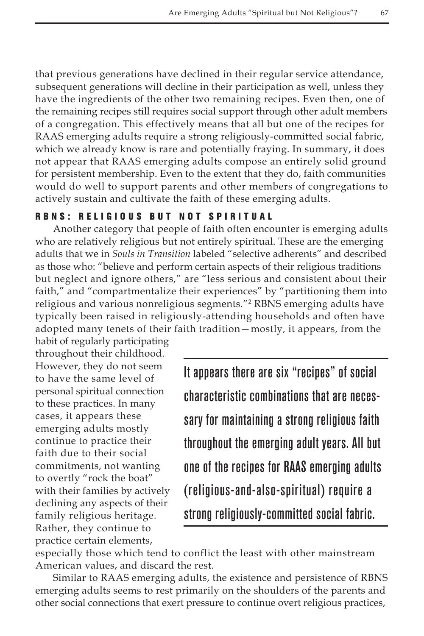that previous generations have declined in their regular service attendance, subsequent generations will decline in their participation as well, unless they have the ingredients of the other two remaining recipes. Even then, one of the remaining recipes still requires social support through other adult members of a congregation. This effectively means that all but one of the recipes for RAAS emerging adults require a strong religiously-committed social fabric, which we already know is rare and potentially fraying. In summary, it does not appear that RAAS emerging adults compose an entirely solid ground for persistent membership. Even to the extent that they do, faith communities would do well to support parents and other members of congregations to actively sustain and cultivate the faith of these emerging adults.

### R B N S : R E L I G I O U S B U T N O T S P I R I T U A L

Another category that people of faith often encounter is emerging adults who are relatively religious but not entirely spiritual. These are the emerging adults that we in *Souls in Transition* labeled "selective adherents" and described as those who: "believe and perform certain aspects of their religious traditions but neglect and ignore others," are "less serious and consistent about their faith," and "compartmentalize their experiences" by "partitioning them into religious and various nonreligious segments."2 RBNS emerging adults have typically been raised in religiously-attending households and often have adopted many tenets of their faith tradition—mostly, it appears, from the

habit of regularly participating throughout their childhood. However, they do not seem to have the same level of personal spiritual connection to these practices. In many cases, it appears these emerging adults mostly continue to practice their faith due to their social commitments, not wanting to overtly "rock the boat" with their families by actively declining any aspects of their family religious heritage. Rather, they continue to practice certain elements,

It appears there are six "recipes" of social characteristic combinations that are necessary for maintaining a strong religious faith throughout the emerging adult years. All but one of the recipes for RAAS emerging adults (religious-and-also-spiritual) require a strong religiously-committed social fabric.

especially those which tend to conflict the least with other mainstream American values, and discard the rest.

Similar to RAAS emerging adults, the existence and persistence of RBNS emerging adults seems to rest primarily on the shoulders of the parents and other social connections that exert pressure to continue overt religious practices,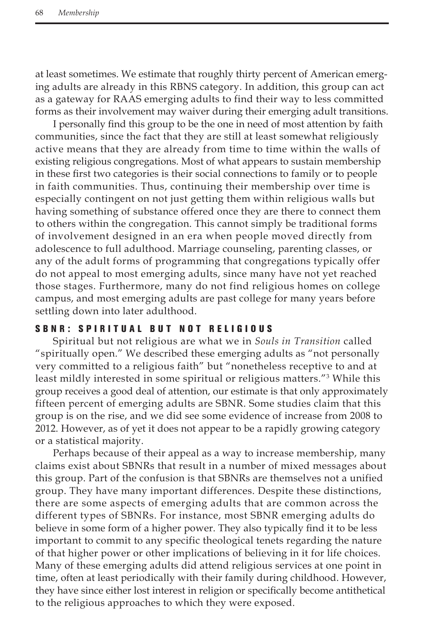at least sometimes. We estimate that roughly thirty percent of American emerging adults are already in this RBNS category. In addition, this group can act as a gateway for RAAS emerging adults to find their way to less committed forms as their involvement may waiver during their emerging adult transitions.

I personally find this group to be the one in need of most attention by faith communities, since the fact that they are still at least somewhat religiously active means that they are already from time to time within the walls of existing religious congregations. Most of what appears to sustain membership in these first two categories is their social connections to family or to people in faith communities. Thus, continuing their membership over time is especially contingent on not just getting them within religious walls but having something of substance offered once they are there to connect them to others within the congregation. This cannot simply be traditional forms of involvement designed in an era when people moved directly from adolescence to full adulthood. Marriage counseling, parenting classes, or any of the adult forms of programming that congregations typically offer do not appeal to most emerging adults, since many have not yet reached those stages. Furthermore, many do not find religious homes on college campus, and most emerging adults are past college for many years before settling down into later adulthood.

# SBNR: SPIRITUAL BUT NOT RELIGIOUS

Spiritual but not religious are what we in *Souls in Transition* called "spiritually open." We described these emerging adults as "not personally very committed to a religious faith" but "nonetheless receptive to and at least mildly interested in some spiritual or religious matters."3 While this group receives a good deal of attention, our estimate is that only approximately fifteen percent of emerging adults are SBNR. Some studies claim that this group is on the rise, and we did see some evidence of increase from 2008 to 2012. However, as of yet it does not appear to be a rapidly growing category or a statistical majority.

Perhaps because of their appeal as a way to increase membership, many claims exist about SBNRs that result in a number of mixed messages about this group. Part of the confusion is that SBNRs are themselves not a unified group. They have many important differences. Despite these distinctions, there are some aspects of emerging adults that are common across the different types of SBNRs. For instance, most SBNR emerging adults do believe in some form of a higher power. They also typically find it to be less important to commit to any specific theological tenets regarding the nature of that higher power or other implications of believing in it for life choices. Many of these emerging adults did attend religious services at one point in time, often at least periodically with their family during childhood. However, they have since either lost interest in religion or specifically become antithetical to the religious approaches to which they were exposed.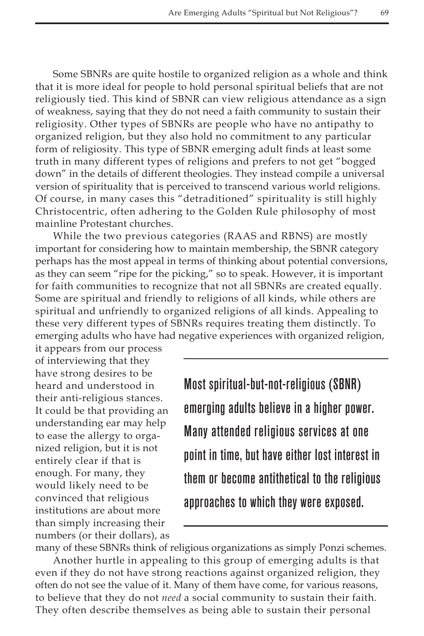Some SBNRs are quite hostile to organized religion as a whole and think that it is more ideal for people to hold personal spiritual beliefs that are not religiously tied. This kind of SBNR can view religious attendance as a sign of weakness, saying that they do not need a faith community to sustain their religiosity. Other types of SBNRs are people who have no antipathy to organized religion, but they also hold no commitment to any particular form of religiosity. This type of SBNR emerging adult finds at least some truth in many different types of religions and prefers to not get "bogged down" in the details of different theologies. They instead compile a universal version of spirituality that is perceived to transcend various world religions. Of course, in many cases this "detraditioned" spirituality is still highly Christocentric, often adhering to the Golden Rule philosophy of most mainline Protestant churches.

While the two previous categories (RAAS and RBNS) are mostly important for considering how to maintain membership, the SBNR category perhaps has the most appeal in terms of thinking about potential conversions, as they can seem "ripe for the picking," so to speak. However, it is important for faith communities to recognize that not all SBNRs are created equally. Some are spiritual and friendly to religions of all kinds, while others are spiritual and unfriendly to organized religions of all kinds. Appealing to these very different types of SBNRs requires treating them distinctly. To emerging adults who have had negative experiences with organized religion,

it appears from our process of interviewing that they have strong desires to be heard and understood in their anti-religious stances. It could be that providing an understanding ear may help to ease the allergy to organized religion, but it is not entirely clear if that is enough. For many, they would likely need to be convinced that religious institutions are about more than simply increasing their numbers (or their dollars), as

Most spiritual-but-not-religious (SBNR) emerging adults believe in a higher power. Many attended religious services at one point in time, but have either lost interest in them or become antithetical to the religious approaches to which they were exposed.

many of these SBNRs think of religious organizations as simply Ponzi schemes. Another hurtle in appealing to this group of emerging adults is that even if they do not have strong reactions against organized religion, they often do not see the value of it. Many of them have come, for various reasons, to believe that they do not *need* a social community to sustain their faith. They often describe themselves as being able to sustain their personal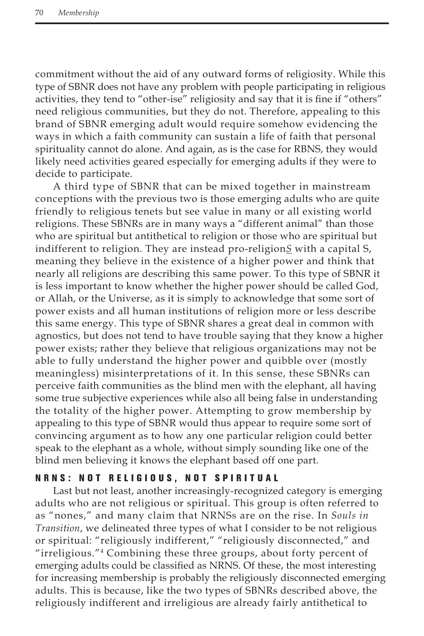commitment without the aid of any outward forms of religiosity. While this type of SBNR does not have any problem with people participating in religious activities, they tend to "other-ise" religiosity and say that it is fine if "others" need religious communities, but they do not. Therefore, appealing to this brand of SBNR emerging adult would require somehow evidencing the ways in which a faith community can sustain a life of faith that personal spirituality cannot do alone. And again, as is the case for RBNS, they would likely need activities geared especially for emerging adults if they were to decide to participate.

A third type of SBNR that can be mixed together in mainstream conceptions with the previous two is those emerging adults who are quite friendly to religious tenets but see value in many or all existing world religions. These SBNRs are in many ways a "different animal" than those who are spiritual but antithetical to religion or those who are spiritual but indifferent to religion. They are instead pro-religion*S* with a capital S, meaning they believe in the existence of a higher power and think that nearly all religions are describing this same power. To this type of SBNR it is less important to know whether the higher power should be called God, or Allah, or the Universe, as it is simply to acknowledge that some sort of power exists and all human institutions of religion more or less describe this same energy. This type of SBNR shares a great deal in common with agnostics, but does not tend to have trouble saying that they know a higher power exists; rather they believe that religious organizations may not be able to fully understand the higher power and quibble over (mostly meaningless) misinterpretations of it. In this sense, these SBNRs can perceive faith communities as the blind men with the elephant, all having some true subjective experiences while also all being false in understanding the totality of the higher power. Attempting to grow membership by appealing to this type of SBNR would thus appear to require some sort of convincing argument as to how any one particular religion could better speak to the elephant as a whole, without simply sounding like one of the blind men believing it knows the elephant based off one part.

# N R N S : N O T R E L I G I O U S , N O T S P I R I T U A L

Last but not least, another increasingly-recognized category is emerging adults who are not religious or spiritual. This group is often referred to as "nones," and many claim that NRNSs are on the rise. In *Souls in Transition*, we delineated three types of what I consider to be not religious or spiritual: "religiously indifferent," "religiously disconnected," and "irreligious."4 Combining these three groups, about forty percent of emerging adults could be classified as NRNS. Of these, the most interesting for increasing membership is probably the religiously disconnected emerging adults. This is because, like the two types of SBNRs described above, the religiously indifferent and irreligious are already fairly antithetical to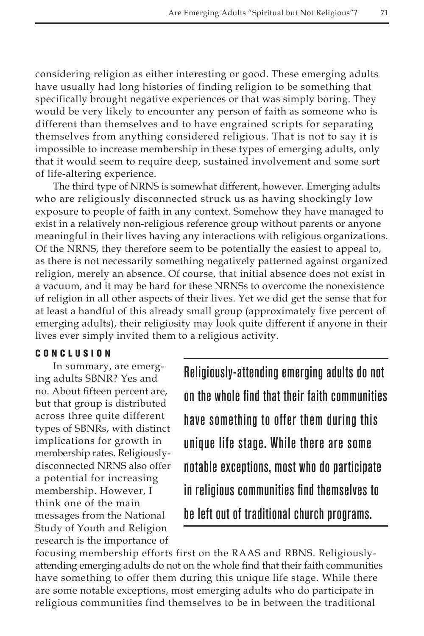considering religion as either interesting or good. These emerging adults have usually had long histories of finding religion to be something that specifically brought negative experiences or that was simply boring. They would be very likely to encounter any person of faith as someone who is different than themselves and to have engrained scripts for separating themselves from anything considered religious. That is not to say it is impossible to increase membership in these types of emerging adults, only that it would seem to require deep, sustained involvement and some sort of life-altering experience.

The third type of NRNS is somewhat different, however. Emerging adults who are religiously disconnected struck us as having shockingly low exposure to people of faith in any context. Somehow they have managed to exist in a relatively non-religious reference group without parents or anyone meaningful in their lives having any interactions with religious organizations. Of the NRNS, they therefore seem to be potentially the easiest to appeal to, as there is not necessarily something negatively patterned against organized religion, merely an absence. Of course, that initial absence does not exist in a vacuum, and it may be hard for these NRNSs to overcome the nonexistence of religion in all other aspects of their lives. Yet we did get the sense that for at least a handful of this already small group (approximately five percent of emerging adults), their religiosity may look quite different if anyone in their lives ever simply invited them to a religious activity.

#### Con c l u s ion

In summary, are emerging adults SBNR? Yes and no. About fifteen percent are, but that group is distributed across three quite different types of SBNRs, with distinct implications for growth in membership rates. Religiouslydisconnected NRNS also offer a potential for increasing membership. However, I think one of the main messages from the National Study of Youth and Religion research is the importance of

Religiously-attending emerging adults do not on the whole find that their faith communities have something to offer them during this unique life stage. While there are some notable exceptions, most who do participate in religious communities find themselves to be left out of traditional church programs.

focusing membership efforts first on the RAAS and RBNS. Religiouslyattending emerging adults do not on the whole find that their faith communities have something to offer them during this unique life stage. While there are some notable exceptions, most emerging adults who do participate in religious communities find themselves to be in between the traditional